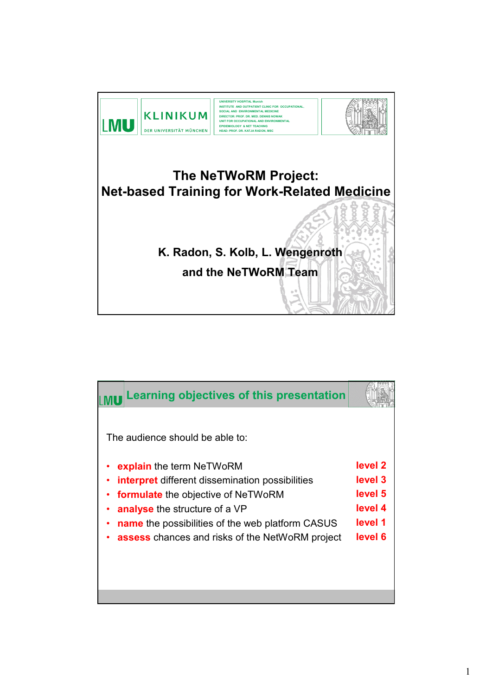

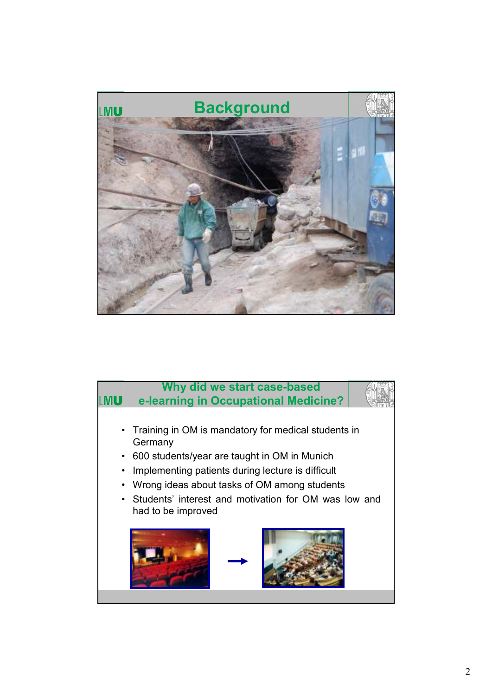

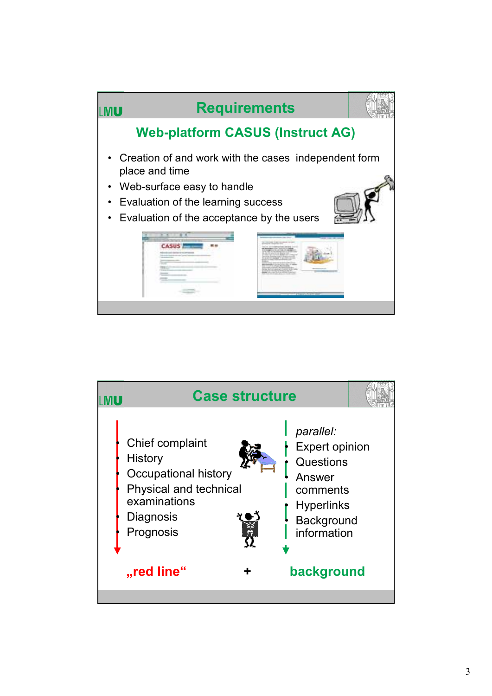

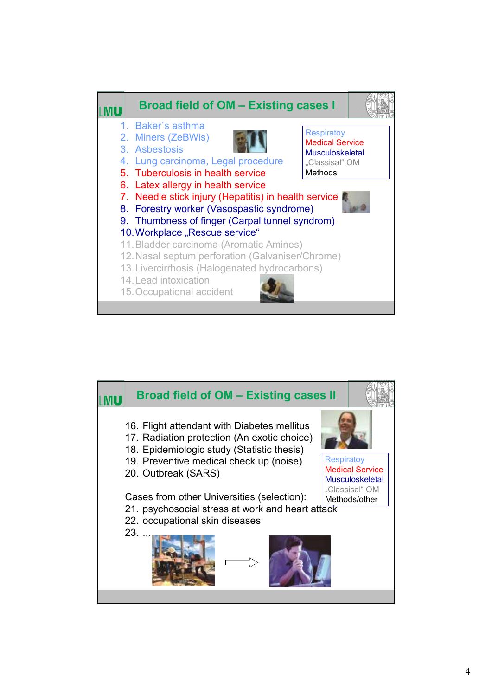

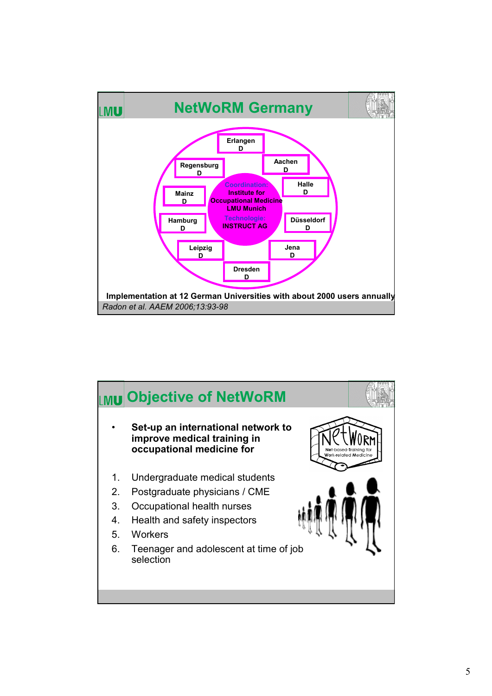

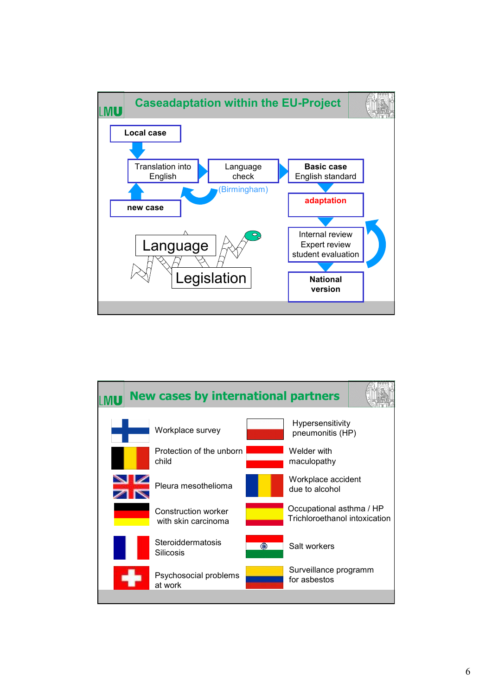

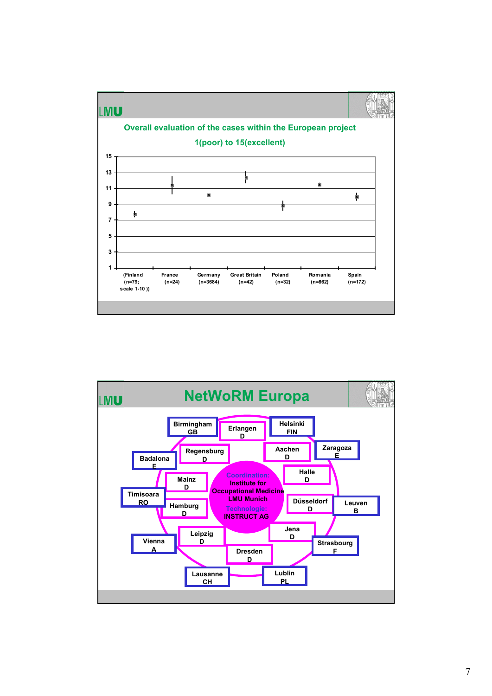

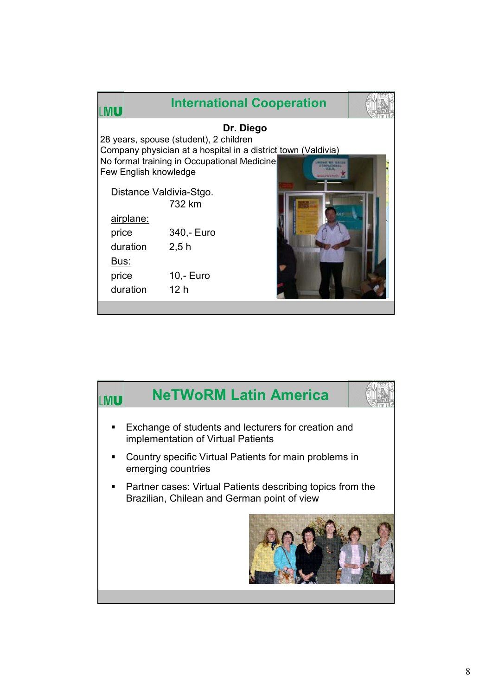| MI L                                                                                                                                                                                                                                                                                                                                          |  |
|-----------------------------------------------------------------------------------------------------------------------------------------------------------------------------------------------------------------------------------------------------------------------------------------------------------------------------------------------|--|
| Dr. Diego<br>28 years, spouse (student), 2 children<br>Company physician at a hospital in a district town (Valdivia)<br>No formal training in Occupational Medicine<br>Few English knowledge<br>Distance Valdivia-Stgo.<br>732 km<br>airplane:<br>340,- Euro<br>price<br>duration<br>2,5h<br>Bus:<br>$10,-$ Euro<br>price<br>duration<br>12 h |  |

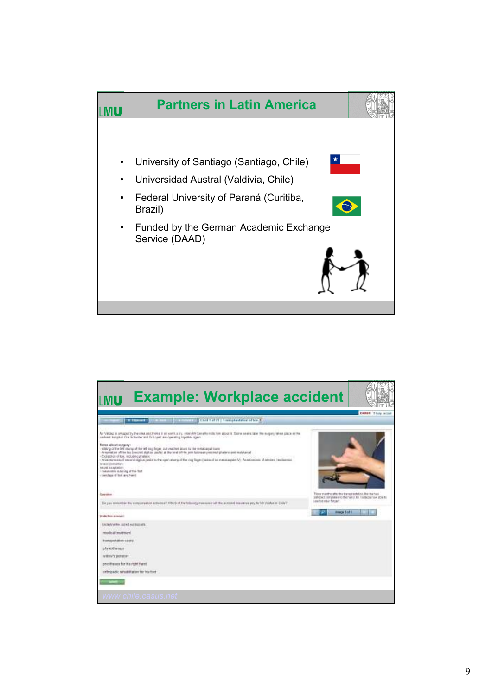

| <b>Example: Workplace accident</b>                                                                                                                                                                                                                                                                                                                                                                                                                                                                                                                                                                                                                                                                                                                                                          |                                                       |                                                                      |
|---------------------------------------------------------------------------------------------------------------------------------------------------------------------------------------------------------------------------------------------------------------------------------------------------------------------------------------------------------------------------------------------------------------------------------------------------------------------------------------------------------------------------------------------------------------------------------------------------------------------------------------------------------------------------------------------------------------------------------------------------------------------------------------------|-------------------------------------------------------|----------------------------------------------------------------------|
| the box of the control (Carl Latz) (insiphatelecologic)<br><b>CONSUMPTION</b>                                                                                                                                                                                                                                                                                                                                                                                                                                                                                                                                                                                                                                                                                                               |                                                       | CAREN' Three mind                                                    |
| Mr Védez a swazed by the cost end three is as work a try, wear Uk Consillo milk how sport is faire when the the magany bleas place as the<br>underst tungent Dis Schusser and Dr Louis are convening injetten again. The contract of the<br>Name attorn ourgery:<br>relating of the tell doing of the left sup fages, just reaches issues to the exciscapationes.<br>Arround on other has beecked stations pocket at the lead of the pow botineer precised plaster cost replateral<br>- Extraction of top, lecturing shalleng<br>- Atlantatea of exceld digital riadio to the open starts of the rise figger (basis of an excellentate Art Acadoxicas) of artisies, feedbeenide<br>telepesiteiseksity<br>TAUNE EXAMPLES<br>Consecutive dutacing af the fast<br>basing the top and he spined |                                                       |                                                                      |
| Lineether)                                                                                                                                                                                                                                                                                                                                                                                                                                                                                                                                                                                                                                                                                                                                                                                  | Here menths after the the substanted on. But the head | pathersed communities for the maintainty maintaining communities for |
| De you removing the concernation activities? FRICk of the following materials will the accident insurance psy highly Valdez in Chile?"                                                                                                                                                                                                                                                                                                                                                                                                                                                                                                                                                                                                                                                      | 144 his new finger.                                   |                                                                      |
| <b>Bradler Denn, de moded C.</b>                                                                                                                                                                                                                                                                                                                                                                                                                                                                                                                                                                                                                                                                                                                                                            | <b>International Editor</b>                           |                                                                      |
| UK/MAYA RA 197 KG AN BASAR.<br>reachaid trasmward<br>themapertation close<br>physoftensy<br>Information<br>propilitates for its right fuent.<br>othopacic rehabilitation for his foot                                                                                                                                                                                                                                                                                                                                                                                                                                                                                                                                                                                                       |                                                       |                                                                      |
|                                                                                                                                                                                                                                                                                                                                                                                                                                                                                                                                                                                                                                                                                                                                                                                             |                                                       |                                                                      |
| www.chile.casus.net                                                                                                                                                                                                                                                                                                                                                                                                                                                                                                                                                                                                                                                                                                                                                                         |                                                       |                                                                      |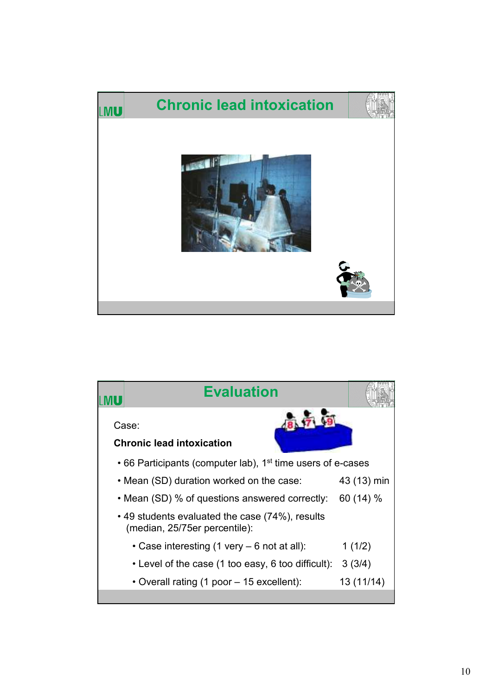

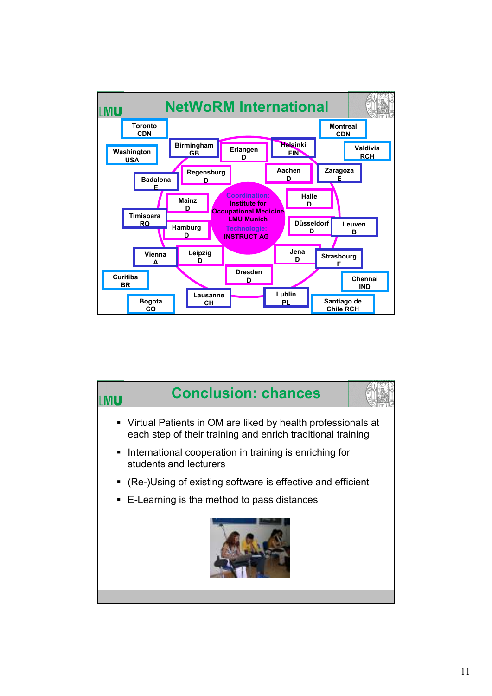

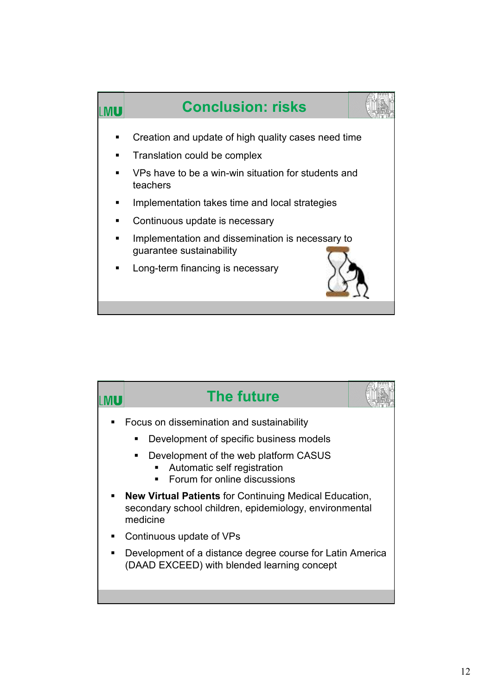

|   | <b>The future</b>                                                                                                                   |  |
|---|-------------------------------------------------------------------------------------------------------------------------------------|--|
|   | Focus on dissemination and sustainability                                                                                           |  |
|   | Development of specific business models                                                                                             |  |
|   | Development of the web platform CASUS<br>٠<br>Automatic self registration<br>Forum for online discussions                           |  |
|   | <b>New Virtual Patients for Continuing Medical Education,</b><br>secondary school children, epidemiology, environmental<br>medicine |  |
|   | Continuous update of VPs                                                                                                            |  |
| ٠ | Development of a distance degree course for Latin America<br>(DAAD EXCEED) with blended learning concept                            |  |
|   |                                                                                                                                     |  |